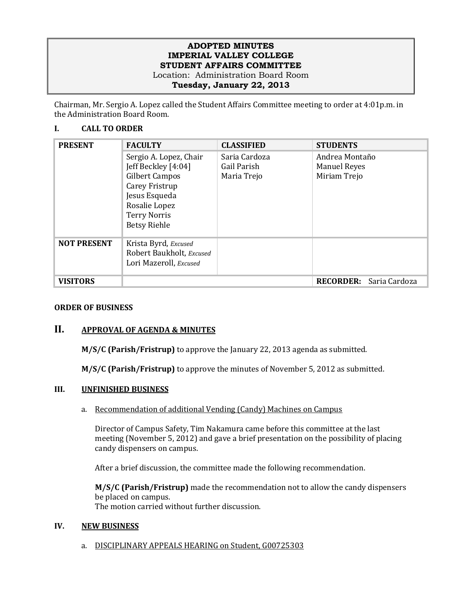## **ADOPTED MINUTES IMPERIAL VALLEY COLLEGE STUDENT AFFAIRS COMMITTEE** Location: Administration Board Room

**Tuesday, January 22, 2013**

Chairman, Mr. Sergio A. Lopez called the Student Affairs Committee meeting to order at 4:01p.m. in the Administration Board Room.

# **I. CALL TO ORDER**

| <b>PRESENT</b>     | <b>FACULTY</b>           | <b>CLASSIFIED</b> | <b>STUDENTS</b>                   |
|--------------------|--------------------------|-------------------|-----------------------------------|
|                    | Sergio A. Lopez, Chair   | Saria Cardoza     | Andrea Montaño                    |
|                    | Jeff Beckley [4:04]      | Gail Parish       | <b>Manuel Reyes</b>               |
|                    | <b>Gilbert Campos</b>    | Maria Trejo       | Miriam Trejo                      |
|                    | Carey Fristrup           |                   |                                   |
|                    | Jesus Esqueda            |                   |                                   |
|                    | Rosalie Lopez            |                   |                                   |
|                    | <b>Terry Norris</b>      |                   |                                   |
|                    | <b>Betsy Riehle</b>      |                   |                                   |
| <b>NOT PRESENT</b> | Krista Byrd, Excused     |                   |                                   |
|                    | Robert Baukholt, Excused |                   |                                   |
|                    | Lori Mazeroll, Excused   |                   |                                   |
|                    |                          |                   |                                   |
| <b>VISITORS</b>    |                          |                   | <b>RECORDER:</b><br>Saria Cardoza |

# **ORDER OF BUSINESS**

# **II. APPROVAL OF AGENDA & MINUTES**

**M/S/C (Parish/Fristrup)** to approve the January 22, 2013 agenda as submitted.

**M/S/C (Parish/Fristrup)** to approve the minutes of November 5, 2012 as submitted.

#### **III. UNFINISHED BUSINESS**

a. Recommendation of additional Vending (Candy) Machines on Campus

Director of Campus Safety, Tim Nakamura came before this committee at the last meeting (November 5, 2012) and gave a brief presentation on the possibility of placing candy dispensers on campus.

After a brief discussion, the committee made the following recommendation.

**M/S/C (Parish/Fristrup)** made the recommendation not to allow the candy dispensers be placed on campus. The motion carried without further discussion.

#### **IV. NEW BUSINESS**

a. DISCIPLINARY APPEALS HEARING on Student, G00725303